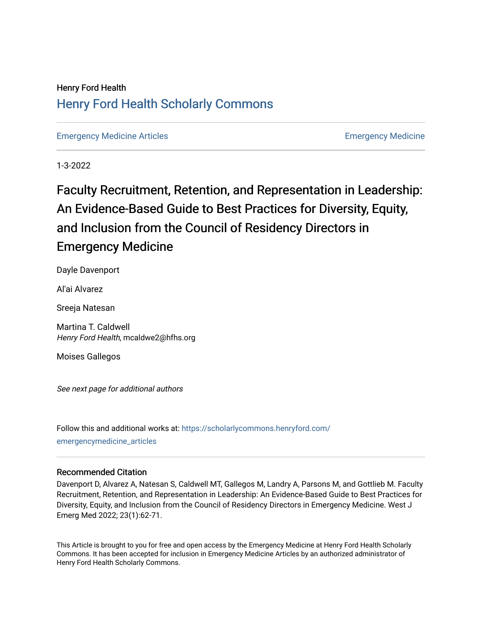## Henry Ford Health [Henry Ford Health Scholarly Commons](https://scholarlycommons.henryford.com/)

[Emergency Medicine Articles](https://scholarlycommons.henryford.com/emergencymedicine_articles) [Emergency Medicine](https://scholarlycommons.henryford.com/emergencymedicine) 

1-3-2022

# Faculty Recruitment, Retention, and Representation in Leadership: An Evidence-Based Guide to Best Practices for Diversity, Equity, and Inclusion from the Council of Residency Directors in Emergency Medicine

Dayle Davenport

Al'ai Alvarez

Sreeja Natesan

Martina T. Caldwell Henry Ford Health, mcaldwe2@hfhs.org

Moises Gallegos

See next page for additional authors

Follow this and additional works at: [https://scholarlycommons.henryford.com/](https://scholarlycommons.henryford.com/emergencymedicine_articles?utm_source=scholarlycommons.henryford.com%2Femergencymedicine_articles%2F263&utm_medium=PDF&utm_campaign=PDFCoverPages) [emergencymedicine\\_articles](https://scholarlycommons.henryford.com/emergencymedicine_articles?utm_source=scholarlycommons.henryford.com%2Femergencymedicine_articles%2F263&utm_medium=PDF&utm_campaign=PDFCoverPages) 

#### Recommended Citation

Davenport D, Alvarez A, Natesan S, Caldwell MT, Gallegos M, Landry A, Parsons M, and Gottlieb M. Faculty Recruitment, Retention, and Representation in Leadership: An Evidence-Based Guide to Best Practices for Diversity, Equity, and Inclusion from the Council of Residency Directors in Emergency Medicine. West J Emerg Med 2022; 23(1):62-71.

This Article is brought to you for free and open access by the Emergency Medicine at Henry Ford Health Scholarly Commons. It has been accepted for inclusion in Emergency Medicine Articles by an authorized administrator of Henry Ford Health Scholarly Commons.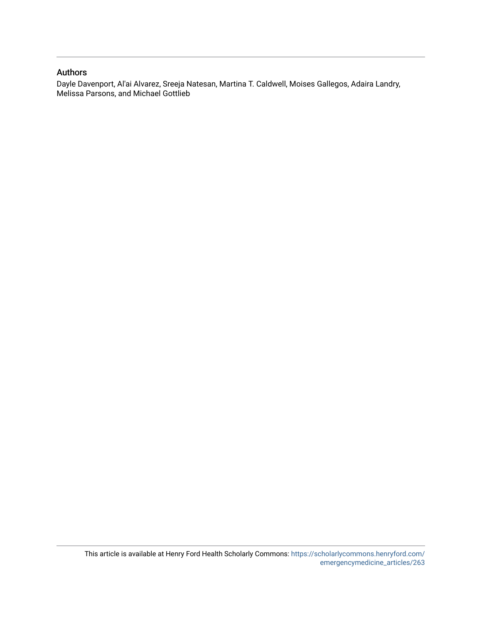#### Authors

Dayle Davenport, Al'ai Alvarez, Sreeja Natesan, Martina T. Caldwell, Moises Gallegos, Adaira Landry, Melissa Parsons, and Michael Gottlieb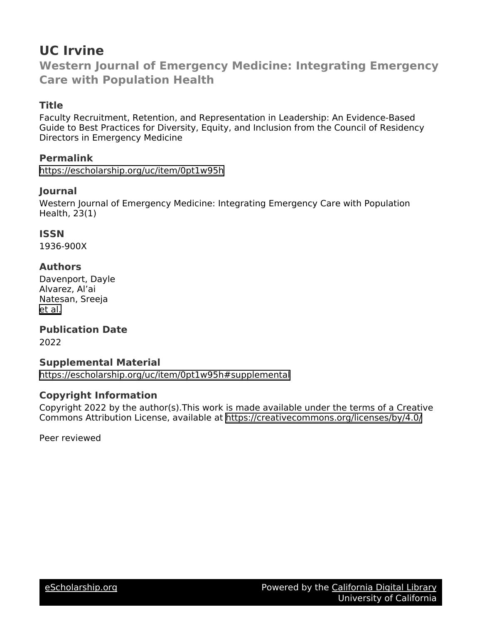# **UC Irvine**

**Western Journal of Emergency Medicine: Integrating Emergency Care with Population Health**

## **Title**

Faculty Recruitment, Retention, and Representation in Leadership: An Evidence-Based Guide to Best Practices for Diversity, Equity, and Inclusion from the Council of Residency Directors in Emergency Medicine

## **Permalink**

<https://escholarship.org/uc/item/0pt1w95h>

## **Journal**

Western Journal of Emergency Medicine: Integrating Emergency Care with Population Health, 23(1)

## **ISSN**

1936-900X

## **Authors**

Davenport, Dayle Alvarez, Al'ai Natesan, Sreeja [et al.](https://escholarship.org/uc/item/0pt1w95h#author)

#### **Publication Date** 2022

## **Supplemental Material**

<https://escholarship.org/uc/item/0pt1w95h#supplemental>

## **Copyright Information**

Copyright 2022 by the author(s).This work is made available under the terms of a Creative Commons Attribution License, available at <https://creativecommons.org/licenses/by/4.0/>

Peer reviewed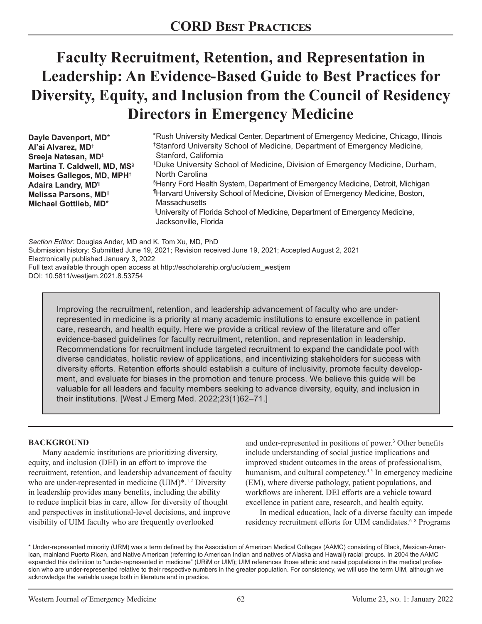# **Faculty Recruitment, Retention, and Representation in Leadership: An Evidence-Based Guide to Best Practices for Diversity, Equity, and Inclusion from the Council of Residency Directors in Emergency Medicine**

| Dayle Davenport, MD*                     | *Rush University Medical Center, Department of Emergency Medicine, Chicago, Illinois     |
|------------------------------------------|------------------------------------------------------------------------------------------|
| Al'ai Alvarez, MD <sup>+</sup>           | <sup>†</sup> Stanford University School of Medicine, Department of Emergency Medicine,   |
| Sreeja Natesan, MD <sup>‡</sup>          | Stanford, California                                                                     |
| Martina T. Caldwell, MD, MS <sup>§</sup> | <sup>‡</sup> Duke University School of Medicine, Division of Emergency Medicine, Durham, |
| Moises Gallegos, MD, MPH <sup>+</sup>    | North Carolina                                                                           |
| <b>Adaira Landry, MD</b> <sup>1</sup>    | SHenry Ford Health System, Department of Emergency Medicine, Detroit, Michigan           |
| Melissa Parsons, MD                      | "Harvard University School of Medicine, Division of Emergency Medicine, Boston,          |
| Michael Gottlieb, MD*                    | <b>Massachusetts</b>                                                                     |
|                                          | "University of Florida School of Medicine, Department of Emergency Medicine,             |
|                                          | Jacksonville, Florida                                                                    |

*Section Editor:* Douglas Ander, MD and K. Tom Xu, MD, PhD Submission history: Submitted June 19, 2021; Revision received June 19, 2021; Accepted August 2, 2021 Electronically published January 3, 2022 Full text available through open access at http://escholarship.org/uc/uciem\_westjem DOI: 10.5811/westjem.2021.8.53754

Improving the recruitment, retention, and leadership advancement of faculty who are underrepresented in medicine is a priority at many academic institutions to ensure excellence in patient care, research, and health equity. Here we provide a critical review of the literature and offer evidence-based guidelines for faculty recruitment, retention, and representation in leadership. Recommendations for recruitment include targeted recruitment to expand the candidate pool with diverse candidates, holistic review of applications, and incentivizing stakeholders for success with diversity efforts. Retention efforts should establish a culture of inclusivity, promote faculty development, and evaluate for biases in the promotion and tenure process. We believe this guide will be valuable for all leaders and faculty members seeking to advance diversity, equity, and inclusion in their institutions. [West J Emerg Med. 2022;23(1)62–71.]

#### **BACKGROUND**

Many academic institutions are prioritizing diversity, equity, and inclusion (DEI) in an effort to improve the recruitment, retention, and leadership advancement of faculty who are under-represented in medicine (UIM)\*.<sup>1,2</sup> Diversity in leadership provides many benefits, including the ability to reduce implicit bias in care, allow for diversity of thought and perspectives in institutional-level decisions, and improve visibility of UIM faculty who are frequently overlooked

and under-represented in positions of power.<sup>3</sup> Other benefits include understanding of social justice implications and improved student outcomes in the areas of professionalism, humanism, and cultural competency.<sup>4,5</sup> In emergency medicine (EM), where diverse pathology, patient populations, and workflows are inherent, DEI efforts are a vehicle toward excellence in patient care, research, and health equity.

In medical education, lack of a diverse faculty can impede residency recruitment efforts for UIM candidates.<sup>6-8</sup> Programs

\* Under-represented minority (URM) was a term defined by the Association of American Medical Colleges (AAMC) consisting of Black, Mexican-American, mainland Puerto Rican, and Native American (referring to American Indian and natives of Alaska and Hawaii) racial groups. In 2004 the AAMC expanded this definition to "under-represented in medicine" (URiM or UIM); UIM references those ethnic and racial populations in the medical profession who are under-represented relative to their respective numbers in the greater population. For consistency, we will use the term UIM, although we acknowledge the variable usage both in literature and in practice.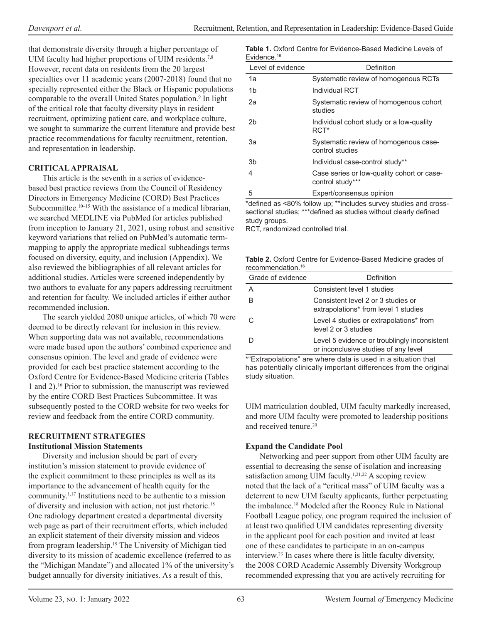that demonstrate diversity through a higher percentage of UIM faculty had higher proportions of UIM residents.<sup>7,8</sup> However, recent data on residents from the 20 largest specialties over 11 academic years (2007-2018) found that no specialty represented either the Black or Hispanic populations comparable to the overall United States population.<sup>9</sup> In light of the critical role that faculty diversity plays in resident recruitment, optimizing patient care, and workplace culture, we sought to summarize the current literature and provide best practice recommendations for faculty recruitment, retention, and representation in leadership.

#### **CRITICAL APPRAISAL**

This article is the seventh in a series of evidencebased best practice reviews from the Council of Residency Directors in Emergency Medicine (CORD) Best Practices Subcommittee.<sup>10-15</sup> With the assistance of a medical librarian, we searched MEDLINE via PubMed for articles published from inception to January 21, 2021, using robust and sensitive keyword variations that relied on PubMed's automatic termmapping to apply the appropriate medical subheadings terms focused on diversity, equity, and inclusion (Appendix). We also reviewed the bibliographies of all relevant articles for additional studies. Articles were screened independently by two authors to evaluate for any papers addressing recruitment and retention for faculty. We included articles if either author recommended inclusion.

The search yielded 2080 unique articles, of which 70 were deemed to be directly relevant for inclusion in this review. When supporting data was not available, recommendations were made based upon the authors' combined experience and consensus opinion. The level and grade of evidence were provided for each best practice statement according to the Oxford Centre for Evidence-Based Medicine criteria (Tables 1 and 2).16 Prior to submission, the manuscript was reviewed by the entire CORD Best Practices Subcommittee. It was subsequently posted to the CORD website for two weeks for review and feedback from the entire CORD community.

#### **RECRUITMENT STRATEGIES Institutional Mission Statements**

Diversity and inclusion should be part of every institution's mission statement to provide evidence of the explicit commitment to these principles as well as its importance to the advancement of health equity for the community.1,17 Institutions need to be authentic to a mission of diversity and inclusion with action, not just rhetoric.<sup>18</sup> One radiology department created a departmental diversity web page as part of their recruitment efforts, which included an explicit statement of their diversity mission and videos from program leadership.<sup>19</sup> The University of Michigan tied diversity to its mission of academic excellence (referred to as the "Michigan Mandate") and allocated 1% of the university's budget annually for diversity initiatives. As a result of this,

| <b>Table 1.</b> Oxford Centre for Evidence-Based Medicine Levels of |  |
|---------------------------------------------------------------------|--|
| Evidence. $16$                                                      |  |

| Level of evidence | Definition                                                     |
|-------------------|----------------------------------------------------------------|
| 1a                | Systematic review of homogenous RCTs                           |
| 1b                | Individual RCT                                                 |
| 2a                | Systematic review of homogenous cohort<br>studies              |
| 2b                | Individual cohort study or a low-quality<br>RCT <sup>*</sup>   |
| За                | Systematic review of homogenous case-<br>control studies       |
| 3b                | Individual case-control study**                                |
| 4                 | Case series or low-quality cohort or case-<br>control study*** |
| 5                 | Expert/consensus opinion                                       |

\*defined as <80% follow up; \*\*includes survey studies and crosssectional studies; \*\*\*defined as studies without clearly defined study groups.

RCT, randomized controlled trial.

|                               | Table 2. Oxford Centre for Evidence-Based Medicine grades of |
|-------------------------------|--------------------------------------------------------------|
| recommendation. <sup>16</sup> |                                                              |

| Grade of evidence | Definition                                                                           |
|-------------------|--------------------------------------------------------------------------------------|
| A                 | Consistent level 1 studies                                                           |
| B                 | Consistent level 2 or 3 studies or<br>extrapolations* from level 1 studies           |
|                   | Level 4 studies or extrapolations* from<br>level 2 or 3 studies                      |
|                   | Level 5 evidence or troublingly inconsistent<br>or inconclusive studies of any level |

\*"Extrapolations" are where data is used in a situation that has potentially clinically important differences from the original study situation.

UIM matriculation doubled, UIM faculty markedly increased, and more UIM faculty were promoted to leadership positions and received tenure.<sup>20</sup>

## **Expand the Candidate Pool**

Networking and peer support from other UIM faculty are essential to decreasing the sense of isolation and increasing satisfaction among UIM faculty.<sup>1,21,22</sup> A scoping review noted that the lack of a "critical mass" of UIM faculty was a deterrent to new UIM faculty applicants, further perpetuating the imbalance.<sup>18</sup> Modeled after the Rooney Rule in National Football League policy, one program required the inclusion of at least two qualified UIM candidates representing diversity in the applicant pool for each position and invited at least one of these candidates to participate in an on-campus interview.23 In cases where there is little faculty diversity, the 2008 CORD Academic Assembly Diversity Workgroup recommended expressing that you are actively recruiting for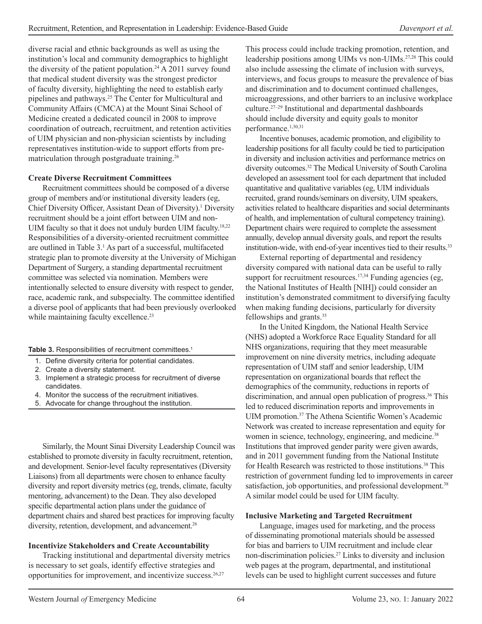diverse racial and ethnic backgrounds as well as using the institution's local and community demographics to highlight the diversity of the patient population.<sup>24</sup> A 2011 survey found that medical student diversity was the strongest predictor of faculty diversity, highlighting the need to establish early pipelines and pathways.<sup>25</sup> The Center for Multicultural and Community Affairs (CMCA) at the Mount Sinai School of Medicine created a dedicated council in 2008 to improve coordination of outreach, recruitment, and retention activities of UIM physician and non-physician scientists by including representatives institution-wide to support efforts from prematriculation through postgraduate training.<sup>26</sup>

#### **Create Diverse Recruitment Committees**

Recruitment committees should be composed of a diverse group of members and/or institutional diversity leaders (eg, Chief Diversity Officer, Assistant Dean of Diversity).<sup>1</sup> Diversity recruitment should be a joint effort between UIM and non-UIM faculty so that it does not unduly burden UIM faculty.<sup>18,22</sup> Responsibilities of a diversity-oriented recruitment committee are outlined in Table 3.<sup>1</sup> As part of a successful, multifaceted strategic plan to promote diversity at the University of Michigan Department of Surgery, a standing departmental recruitment committee was selected via nomination. Members were intentionally selected to ensure diversity with respect to gender, race, academic rank, and subspecialty. The committee identified a diverse pool of applicants that had been previously overlooked while maintaining faculty excellence.<sup>23</sup>

Table 3. Responsibilities of recruitment committees.<sup>1</sup>

- 1. Define diversity criteria for potential candidates.
- 2. Create a diversity statement.
- 3. Implement a strategic process for recruitment of diverse candidates.
- 4. Monitor the success of the recruitment initiatives.
- 5. Advocate for change throughout the institution.

Similarly, the Mount Sinai Diversity Leadership Council was established to promote diversity in faculty recruitment, retention, and development. Senior-level faculty representatives (Diversity Liaisons) from all departments were chosen to enhance faculty diversity and report diversity metrics (eg, trends, climate, faculty mentoring, advancement) to the Dean. They also developed specific departmental action plans under the guidance of department chairs and shared best practices for improving faculty diversity, retention, development, and advancement.<sup>26</sup>

#### **Incentivize Stakeholders and Create Accountability**

Tracking institutional and departmental diversity metrics is necessary to set goals, identify effective strategies and opportunities for improvement, and incentivize success. $26,27$ 

This process could include tracking promotion, retention, and leadership positions among UIMs vs non-UIMs.27,28 This could also include assessing the climate of inclusion with surveys, interviews, and focus groups to measure the prevalence of bias and discrimination and to document continued challenges, microaggressions, and other barriers to an inclusive workplace culture.27–29 Institutional and departmental dashboards should include diversity and equity goals to monitor performance.1,30,31

Incentive bonuses, academic promotion, and eligibility to leadership positions for all faculty could be tied to participation in diversity and inclusion activities and performance metrics on diversity outcomes.<sup>32</sup> The Medical University of South Carolina developed an assessment tool for each department that included quantitative and qualitative variables (eg, UIM individuals recruited, grand rounds/seminars on diversity, UIM speakers, activities related to healthcare disparities and social determinants of health, and implementation of cultural competency training). Department chairs were required to complete the assessment annually, develop annual diversity goals, and report the results institution-wide, with end-of-year incentives tied to their results.<sup>33</sup>

External reporting of departmental and residency diversity compared with national data can be useful to rally support for recruitment resources.<sup>17,34</sup> Funding agencies (eg, the National Institutes of Health [NIH]) could consider an institution's demonstrated commitment to diversifying faculty when making funding decisions, particularly for diversity fellowships and grants.<sup>35</sup>

In the United Kingdom, the National Health Service (NHS) adopted a Workforce Race Equality Standard for all NHS organizations, requiring that they meet measurable improvement on nine diversity metrics, including adequate representation of UIM staff and senior leadership, UIM representation on organizational boards that reflect the demographics of the community, reductions in reports of discrimination, and annual open publication of progress.<sup>36</sup> This led to reduced discrimination reports and improvements in UIM promotion.<sup>37</sup> The Athena Scientific Women's Academic Network was created to increase representation and equity for women in science, technology, engineering, and medicine.<sup>38</sup> Institutions that improved gender parity were given awards, and in 2011 government funding from the National Institute for Health Research was restricted to those institutions.<sup>38</sup> This restriction of government funding led to improvements in career satisfaction, job opportunities, and professional development.<sup>38</sup> A similar model could be used for UIM faculty.

#### **Inclusive Marketing and Targeted Recruitment**

Language, images used for marketing, and the process of disseminating promotional materials should be assessed for bias and barriers to UIM recruitment and include clear non-discrimination policies.<sup>27</sup> Links to diversity and inclusion web pages at the program, departmental, and institutional levels can be used to highlight current successes and future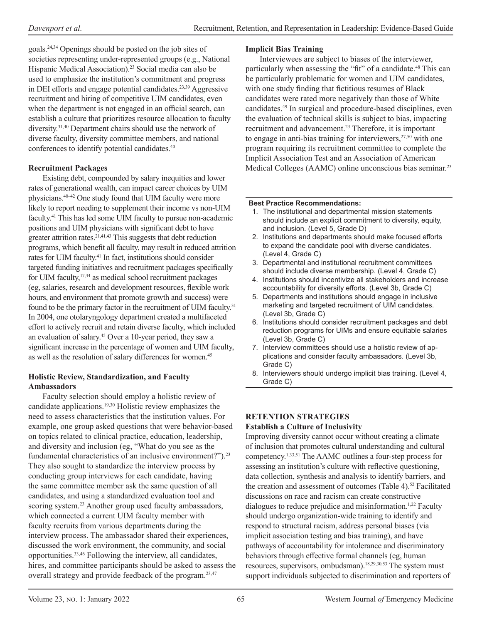goals.24,34 Openings should be posted on the job sites of societies representing under-represented groups (e.g., National Hispanic Medical Association).<sup>23</sup> Social media can also be used to emphasize the institution's commitment and progress in DEI efforts and engage potential candidates.23,39 Aggressive recruitment and hiring of competitive UIM candidates, even when the department is not engaged in an official search, can establish a culture that prioritizes resource allocation to faculty diversity.31,40 Department chairs should use the network of diverse faculty, diversity committee members, and national conferences to identify potential candidates.<sup>40</sup>

#### **Recruitment Packages**

Existing debt, compounded by salary inequities and lower rates of generational wealth, can impact career choices by UIM physicians.40–42 One study found that UIM faculty were more likely to report needing to supplement their income vs non-UIM faculty.<sup>41</sup> This has led some UIM faculty to pursue non-academic positions and UIM physicians with significant debt to have greater attrition rates.<sup>21,41,43</sup> This suggests that debt reduction programs, which benefit all faculty, may result in reduced attrition rates for UIM faculty.<sup>41</sup> In fact, institutions should consider targeted funding initiatives and recruitment packages specifically for UIM faculty,<sup>17,44</sup> as medical school recruitment packages (eg, salaries, research and development resources, flexible work hours, and environment that promote growth and success) were found to be the primary factor in the recruitment of UIM faculty.<sup>31</sup> In 2004, one otolaryngology department created a multifaceted effort to actively recruit and retain diverse faculty, which included an evaluation of salary.<sup>45</sup> Over a 10-year period, they saw a significant increase in the percentage of women and UIM faculty, as well as the resolution of salary differences for women.<sup>45</sup>

#### **Holistic Review, Standardization, and Faculty Ambassadors**

Faculty selection should employ a holistic review of candidate applications.19,30 Holistic review emphasizes the need to assess characteristics that the institution values. For example, one group asked questions that were behavior-based on topics related to clinical practice, education, leadership, and diversity and inclusion (eg, "What do you see as the fundamental characteristics of an inclusive environment?").<sup>23</sup> They also sought to standardize the interview process by conducting group interviews for each candidate, having the same committee member ask the same question of all candidates, and using a standardized evaluation tool and scoring system.<sup>23</sup> Another group used faculty ambassadors, which connected a current UIM faculty member with faculty recruits from various departments during the interview process. The ambassador shared their experiences, discussed the work environment, the community, and social opportunities.33,46 Following the interview, all candidates, hires, and committee participants should be asked to assess the overall strategy and provide feedback of the program.<sup>23,47</sup>

#### **Implicit Bias Training**

Interviewees are subject to biases of the interviewer, particularly when assessing the "fit" of a candidate.<sup>48</sup> This can be particularly problematic for women and UIM candidates, with one study finding that fictitious resumes of Black candidates were rated more negatively than those of White candidates.49 In surgical and procedure-based disciplines, even the evaluation of technical skills is subject to bias, impacting recruitment and advancement.<sup>23</sup> Therefore, it is important to engage in anti-bias training for interviewers,  $27,50$  with one program requiring its recruitment committee to complete the Implicit Association Test and an Association of American Medical Colleges (AAMC) online unconscious bias seminar.<sup>23</sup>

#### **Best Practice Recommendations:**

- 1. The institutional and departmental mission statements should include an explicit commitment to diversity, equity, and inclusion. (Level 5, Grade D)
- 2. Institutions and departments should make focused efforts to expand the candidate pool with diverse candidates. (Level 4, Grade C)
- 3. Departmental and institutional recruitment committees should include diverse membership. (Level 4, Grade C)
- 4. Institutions should incentivize all stakeholders and increase accountability for diversity efforts. (Level 3b, Grade C)
- 5. Departments and institutions should engage in inclusive marketing and targeted recruitment of UIM candidates. (Level 3b, Grade C)
- 6. Institutions should consider recruitment packages and debt reduction programs for UIMs and ensure equitable salaries (Level 3b, Grade C)
- 7. Interview committees should use a holistic review of applications and consider faculty ambassadors. (Level 3b, Grade C)
- 8. Interviewers should undergo implicit bias training. (Level 4, Grade C)

## **RETENTION STRATEGIES**

#### **Establish a Culture of Inclusivity**

Improving diversity cannot occur without creating a climate of inclusion that promotes cultural understanding and cultural competency.1,33,51 The AAMC outlines a four-step process for assessing an institution's culture with reflective questioning, data collection, synthesis and analysis to identify barriers, and the creation and assessment of outcomes (Table 4).<sup>52</sup> Facilitated discussions on race and racism can create constructive dialogues to reduce prejudice and misinformation.<sup>1,22</sup> Faculty should undergo organization-wide training to identify and respond to structural racism, address personal biases (via implicit association testing and bias training), and have pathways of accountability for intolerance and discriminatory behaviors through effective formal channels (eg, human resources, supervisors, ombudsman).18,29,30,53 The system must support individuals subjected to discrimination and reporters of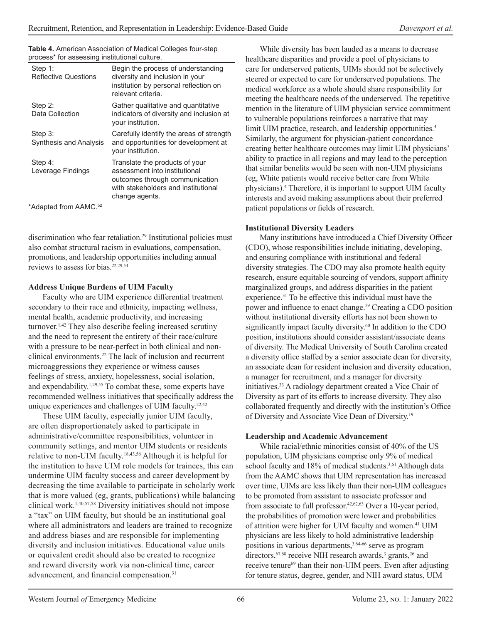| Step 1:<br><b>Reflective Questions</b> | Begin the process of understanding<br>diversity and inclusion in your<br>institution by personal reflection on<br>relevant criteria.                       |
|----------------------------------------|------------------------------------------------------------------------------------------------------------------------------------------------------------|
| Step 2:                                | Gather qualitative and quantitative                                                                                                                        |
| Data Collection                        | indicators of diversity and inclusion at<br>your institution.                                                                                              |
| Step 3:<br>Synthesis and Analysis      | Carefully identify the areas of strength<br>and opportunities for development at<br>your institution.                                                      |
| Step 4:<br>Leverage Findings           | Translate the products of your<br>assessment into institutional<br>outcomes through communication<br>with stakeholders and institutional<br>change agents. |

**Table 4.** American Association of Medical Colleges four-step process\* for assessing institutional culture.

\*Adapted from AAMC.52

discrimination who fear retaliation.<sup>[29](https://www.zotero.org/google-docs/?5iO0DV)</sup> Institutional policies must also combat structural racism in evaluations, compensation, promotions, and leadership opportunities including annual reviews to assess for bias.22,29,54

#### **Address Unique Burdens of UIM Faculty**

Faculty who are UIM experience differential treatment secondary to their race and ethnicity, impacting wellness, mental health, academic productivity, and increasing turnover.1,42 They also describe feeling increased scrutiny and the need to represent the entirety of their race/culture with a pressure to be near-perfect in both clinical and nonclinical environments.22 The lack of inclusion and recurrent microaggressions they experience or witness causes feelings of stress, anxiety, hopelessness, social isolation, and expendability.1,29,55 To combat these, some experts have recommended wellness initiatives that specifically address the unique experiences and challenges of UIM faculty.<sup>22,42</sup>

These UIM faculty, especially junior UIM faculty, are often disproportionately asked to participate in administrative/committee responsibilities, volunteer in community settings, and mentor UIM students or residents relative to non-UIM faculty.18,43,56 Although it is helpful for the institution to have UIM role models for trainees, this can undermine UIM faculty success and career development by decreasing the time available to participate in scholarly work that is more valued (eg, grants, publications) while balancing clinical work.1,40,57,58 Diversity initiatives should not impose a "tax" on UIM faculty, but should be an institutional goal where all administrators and leaders are trained to recognize and address biases and are responsible for implementing diversity and inclusion initiatives. Educational value units or equivalent credit should also be created to recognize and reward diversity work via non-clinical time, career advancement, and financial compensation.<sup>31</sup>

While diversity has been lauded as a means to decrease healthcare disparities and provide a pool of physicians to care for underserved patients, UIMs should not be selectively steered or expected to care for underserved populations. The medical workforce as a whole should share responsibility for meeting the healthcare needs of the underserved. The repetitive mention in the literature of UIM physician service commitment to vulnerable populations reinforces a narrative that may limit UIM practice, research, and leadership opportunities.<sup>4</sup> Similarly, the argument for physician-patient concordance creating better healthcare outcomes may limit UIM physicians' ability to practice in all regions and may lead to the perception that similar benefits would be seen with non-UIM physicians (eg, White patients would receive better care from White physicians).<sup>4</sup> Therefore, it is important to support UIM faculty interests and avoid making assumptions about their preferred patient populations or fields of research.

#### **Institutional Diversity Leaders**

Many institutions have introduced a Chief Diversity Officer (CDO), whose responsibilities include initiating, developing, and ensuring compliance with institutional and federal diversity strategies. The CDO may also promote health equity research, ensure equitable sourcing of vendors, support affinity marginalized groups, and address disparities in the patient experience.31 To be effective this individual must have the power and influence to enact change.<sup>59</sup> Creating a CDO position without institutional diversity efforts has not been shown to significantly impact faculty diversity.<sup>60</sup> In addition to the CDO position, institutions should consider assistant/associate deans of diversity. The Medical University of South Carolina created a diversity office staffed by a senior associate dean for diversity, an associate dean for resident inclusion and diversity education, a manager for recruitment, and a manager for diversity initiatives.33 A radiology department created a Vice Chair of Diversity as part of its efforts to increase diversity. They also collaborated frequently and directly with the institution's Office of Diversity and Associate Vice Dean of Diversity.<sup>19</sup>

#### **Leadership and Academic Advancement**

While racial/ethnic minorities consist of 40% of the US population, UIM physicians comprise only 9% of medical school faculty and 18% of medical students.<sup>3,61</sup> Although data from the AAMC shows that UIM representation has increased over time, UIMs are less likely than their non-UIM colleagues to be promoted from assistant to associate professor and from associate to full professor.42,62,63 Over a 10-year period, the probabilities of promotion were lower and probabilities of attrition were higher for UIM faculty and women.<sup>41</sup> UIM physicians are less likely to hold administrative leadership positions in various departments,<sup>3,64-66</sup> serve as program directors,<sup>67,68</sup> receive NIH research awards,<sup>3</sup> grants,<sup>26</sup> and receive tenure<sup>69</sup> than their non-UIM peers. Even after adjusting for tenure status, degree, gender, and NIH award status, UIM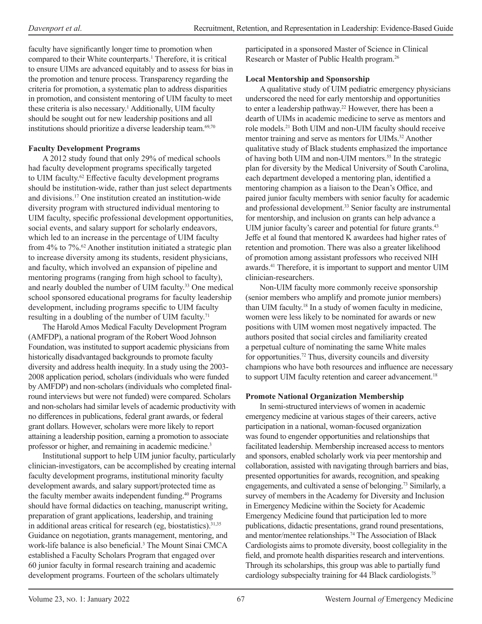faculty have significantly longer time to promotion when compared to their White counterparts.<sup>1</sup> Therefore, it is critical to ensure UIMs are advanced equitably and to assess for bias in the promotion and tenure process. Transparency regarding the criteria for promotion, a systematic plan to address disparities in promotion, and consistent mentoring of UIM faculty to meet these criteria is also necessary.<sup>1</sup> Additionally, UIM faculty should be sought out for new leadership positions and all institutions should prioritize a diverse leadership team.<sup>69,70</sup>

#### **Faculty Development Programs**

A 2012 study found that only 29% of medical schools had faculty development programs specifically targeted to UIM faculty.<sup>62</sup> Effective faculty development programs should be institution-wide, rather than just select departments and divisions.17 One institution created an institution-wide diversity program with structured individual mentoring to UIM faculty, specific professional development opportunities, social events, and salary support for scholarly endeavors, which led to an increase in the percentage of UIM faculty from 4% to 7%.<sup>62</sup> Another institution initiated a strategic plan to increase diversity among its students, resident physicians, and faculty, which involved an expansion of pipeline and mentoring programs (ranging from high school to faculty), and nearly doubled the number of UIM faculty.<sup>33</sup> One medical school sponsored educational programs for faculty leadership development, including programs specific to UIM faculty resulting in a doubling of the number of UIM faculty.<sup>71</sup>

The Harold Amos Medical Faculty Development Program (AMFDP), a national program of the Robert Wood Johnson Foundation, was instituted to support academic physicians from historically disadvantaged backgrounds to promote faculty diversity and address health inequity. In a study using the 2003- 2008 application period, scholars (individuals who were funded by AMFDP) and non-scholars (individuals who completed finalround interviews but were not funded) were compared. Scholars and non-scholars had similar levels of academic productivity with no differences in publications, federal grant awards, or federal grant dollars. However, scholars were more likely to report attaining a leadership position, earning a promotion to associate professor or higher, and remaining in academic medicine.<sup>3</sup>

Institutional support to help UIM junior faculty, particularly clinician-investigators, can be accomplished by creating internal faculty development programs, institutional minority faculty development awards, and salary support/protected time as the faculty member awaits independent funding.<sup>40</sup> Programs should have formal didactics on teaching, manuscript writing, preparation of grant applications, leadership, and training in additional areas critical for research (eg, biostatistics).<sup>31,35</sup> Guidance on negotiation, grants management, mentoring, and work-life balance is also beneficial.<sup>3</sup> The Mount Sinai CMCA established a Faculty Scholars Program that engaged over 60 junior faculty in formal research training and academic development programs. Fourteen of the scholars ultimately

participated in a sponsored Master of Science in Clinical Research or Master of Public Health program.<sup>26</sup>

#### **Local Mentorship and Sponsorship**

A qualitative study of UIM pediatric emergency physicians underscored the need for early mentorship and opportunities to enter a leadership pathway.<sup>22</sup> However, there has been a dearth of UIMs in academic medicine to serve as mentors and role models.21 Both UIM and non-UIM faculty should receive mentor training and serve as mentors for UIMs.<sup>32</sup> Another qualitative study of Black students emphasized the importance of having both UIM and non-UIM mentors.<sup>55</sup> In the strategic plan for diversity by the Medical University of South Carolina, each department developed a mentoring plan, identified a mentoring champion as a liaison to the Dean's Office, and paired junior faculty members with senior faculty for academic and professional development.<sup>33</sup> Senior faculty are instrumental for mentorship, and inclusion on grants can help advance a UIM junior faculty's career and potential for future grants.<sup>43</sup> Jeffe et al found that mentored K awardees had higher rates of retention and promotion. There was also a greater likelihood of promotion among assistant professors who received NIH awards.41 Therefore, it is important to support and mentor UIM clinician-researchers.

Non-UIM faculty more commonly receive sponsorship (senior members who amplify and promote junior members) than UIM faculty.<sup>18</sup> In a study of women faculty in medicine, women were less likely to be nominated for awards or new positions with UIM women most negatively impacted. The authors posited that social circles and familiarity created a perpetual culture of nominating the same White males for opportunities.<sup>72</sup> Thus, diversity councils and diversity champions who have both resources and influence are necessary to support UIM faculty retention and career advancement.<sup>18</sup>

## **Promote National Organization Membership**

In semi-structured interviews of women in academic emergency medicine at various stages of their careers, active participation in a national, woman-focused organization was found to engender opportunities and relationships that facilitated leadership. Membership increased access to mentors and sponsors, enabled scholarly work via peer mentorship and collaboration, assisted with navigating through barriers and bias, presented opportunities for awards, recognition, and speaking engagements, and cultivated a sense of belonging.<sup>73</sup> Similarly, a survey of members in the Academy for Diversity and Inclusion in Emergency Medicine within the Society for Academic Emergency Medicine found that participation led to more publications, didactic presentations, grand round presentations, and mentor/mentee relationships.<sup>74</sup> The Association of Black Cardiologists aims to promote diversity, boost collegiality in the field, and promote health disparities research and interventions. Through its scholarships, this group was able to partially fund cardiology subspecialty training for 44 Black cardiologists.75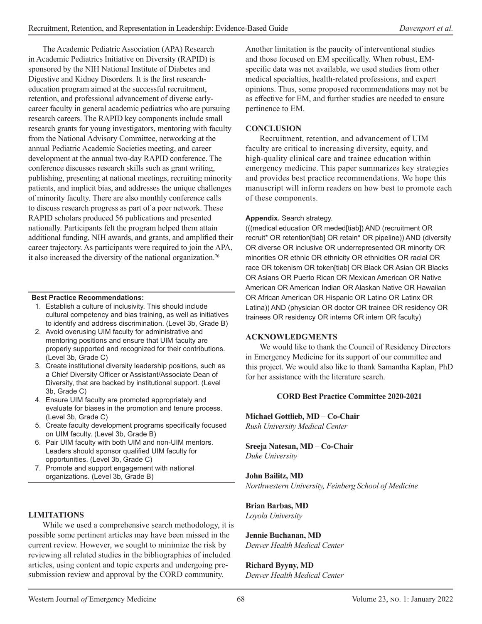The Academic Pediatric Association (APA) Research in Academic Pediatrics Initiative on Diversity (RAPID) is sponsored by the NIH National Institute of Diabetes and Digestive and Kidney Disorders. It is the first researcheducation program aimed at the successful recruitment, retention, and professional advancement of diverse earlycareer faculty in general academic pediatrics who are pursuing research careers. The RAPID key components include small research grants for young investigators, mentoring with faculty from the National Advisory Committee, networking at the annual Pediatric Academic Societies meeting, and career development at the annual two-day RAPID conference. The conference discusses research skills such as grant writing, publishing, presenting at national meetings, recruiting minority patients, and implicit bias, and addresses the unique challenges of minority faculty. There are also monthly conference calls to discuss research progress as part of a peer network. These RAPID scholars produced 56 publications and presented nationally. Participants felt the program helped them attain additional funding, NIH awards, and grants, and amplified their career trajectory. As participants were required to join the APA, it also increased the diversity of the national organization.<sup>76</sup>

#### **Best Practice Recommendations:**

- 1. Establish a culture of inclusivity. This should include cultural competency and bias training, as well as initiatives to identify and address discrimination. (Level 3b, Grade B)
- 2. Avoid overusing UIM faculty for administrative and mentoring positions and ensure that UIM faculty are properly supported and recognized for their contributions. (Level 3b, Grade C)
- 3. Create institutional diversity leadership positions, such as a Chief Diversity Officer or Assistant/Associate Dean of Diversity, that are backed by institutional support. (Level 3b, Grade C)
- 4. Ensure UIM faculty are promoted appropriately and evaluate for biases in the promotion and tenure process. (Level 3b, Grade C)
- 5. Create faculty development programs specifically focused on UIM faculty. (Level 3b, Grade B)
- 6. Pair UIM faculty with both UIM and non-UIM mentors. Leaders should sponsor qualified UIM faculty for opportunities. (Level 3b, Grade C)
- 7. Promote and support engagement with national organizations. (Level 3b, Grade B)

#### **LIMITATIONS**

While we used a comprehensive search methodology, it is possible some pertinent articles may have been missed in the current review. However, we sought to minimize the risk by reviewing all related studies in the bibliographies of included articles, using content and topic experts and undergoing presubmission review and approval by the CORD community.

Another limitation is the paucity of interventional studies and those focused on EM specifically. When robust, EMspecific data was not available, we used studies from other medical specialties, health-related professions, and expert opinions. Thus, some proposed recommendations may not be as effective for EM, and further studies are needed to ensure pertinence to EM.

#### **CONCLUSION**

Recruitment, retention, and advancement of UIM faculty are critical to increasing diversity, equity, and high-quality clinical care and trainee education within emergency medicine. This paper summarizes key strategies and provides best practice recommendations. We hope this manuscript will inform readers on how best to promote each of these components.

#### **Appendix.** Search strategy.

(((medical education OR meded[tiab]) AND (recruitment OR recruit\* OR retention[tiab] OR retain\* OR pipeline)) AND (diversity OR diverse OR inclusive OR underrepresented OR minority OR minorities OR ethnic OR ethnicity OR ethnicities OR racial OR race OR tokenism OR token[tiab] OR Black OR Asian OR Blacks OR Asians OR Puerto Rican OR Mexican American OR Native American OR American Indian OR Alaskan Native OR Hawaiian OR African American OR Hispanic OR Latino OR Latinx OR Latina)) AND (physician OR doctor OR trainee OR residency OR trainees OR residency OR interns OR intern OR faculty)

#### **ACKNOWLEDGMENTS**

We would like to thank the Council of Residency Directors in Emergency Medicine for its support of our committee and this project. We would also like to thank Samantha Kaplan, PhD for her assistance with the literature search.

#### **CORD Best Practice Committee 2020-2021**

**Michael Gottlieb, MD – Co-Chair** *Rush University Medical Center*

#### **Sreeja Natesan, MD – Co-Chair** *Duke University*

#### **John Bailitz, MD**

*Northwestern University, Feinberg School of Medicine*

#### **Brian Barbas, MD**

*Loyola University*

#### **Jennie Buchanan, MD** *Denver Health Medical Center*

#### **Richard Byyny, MD** *Denver Health Medical Center*

Western Journal *of* Emergency Medicine 68 68 Volume 23, No. 1: January 2022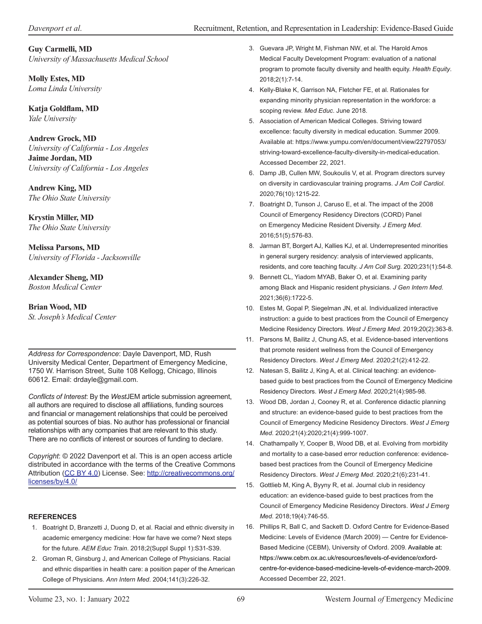#### **Guy Carmelli, MD** *University of Massachusetts Medical School*

**Molly Estes, MD** *Loma Linda University*

**Katja Goldflam, MD** *Yale University*

#### **Andrew Grock, MD** *University of California - Los Angeles*

**Jaime Jordan, MD** *University of California - Los Angeles*

**Andrew King, MD** *The Ohio State University*

**Krystin Miller, MD** *The Ohio State University*

**Melissa Parsons, MD** *University of Florida - Jacksonville*

## **Alexander Sheng, MD**

*Boston Medical Center*

## **Brian Wood, MD**

*St. Joseph's Medical Center*

*Address for Correspondence*: Dayle Davenport, MD, Rush University Medical Center, Department of Emergency Medicine, 1750 W. Harrison Street, Suite 108 Kellogg, Chicago, Illinois 60612. Email: drdayle@gmail.com.

*Conflicts of Interest*: By the *West*JEM article submission agreement, all authors are required to disclose all affiliations, funding sources and financial or management relationships that could be perceived as potential sources of bias. No author has professional or financial relationships with any companies that are relevant to this study. There are no conflicts of interest or sources of funding to declare.

*Copyright*: © 2022 Davenport et al. This is an open access article distributed in accordance with the terms of the Creative Commons Attribution [\(CC BY 4.0](http://creativecommons.org/licenses/by/4.0/)) License. See: [http://creativecommons.org/](http://creativecommons.org/licenses/by/4.0/) [licenses/by/4.0/](http://creativecommons.org/licenses/by/4.0/)

#### **REFERENCES**

- 1. Boatright D, Branzetti J, Duong D, et al. Racial and ethnic diversity in academic emergency medicine: How far have we come? Next steps for the future. *AEM Educ Train*. 2018;2(Suppl Suppl 1):S31-S39.
- 2. Groman R, Ginsburg J, and American College of Physicians. Racial and ethnic disparities in health care: a position paper of the American College of Physicians. *Ann Intern Med*. 2004;141(3):226-32.
- 3. Guevara JP, Wright M, Fishman NW, et al. The Harold Amos Medical Faculty Development Program: evaluation of a national program to promote faculty diversity and health equity. *Health Equity*. 2018;2(1):7-14.
- 4. Kelly-Blake K, Garrison NA, Fletcher FE, et al. Rationales for expanding minority physician representation in the workforce: a scoping review. *Med Educ*. June 2018.
- 5. Association of American Medical Colleges. Striving toward excellence: faculty diversity in medical education. Summer 2009. Available at: [https://www.yumpu.com/en/document/view/22797053/](https://www.yumpu.com/en/document/view/22797053/striving-toward-excellence-faculty-diversity-in-medical-education) [striving-toward-excellence-faculty-diversity-in-medical-education.](https://www.yumpu.com/en/document/view/22797053/striving-toward-excellence-faculty-diversity-in-medical-education) Accessed December 22, 2021.
- 6. Damp JB, Cullen MW, Soukoulis V, et al. Program directors survey on diversity in cardiovascular training programs. *J Am Coll Cardiol*. 2020;76(10):1215-22.
- 7. Boatright D, Tunson J, Caruso E, et al. The impact of the 2008 Council of Emergency Residency Directors (CORD) Panel on Emergency Medicine Resident Diversity. *J Emerg Med*. 2016;51(5):576-83.
- 8. Jarman BT, Borgert AJ, Kallies KJ, et al. Underrepresented minorities in general surgery residency: analysis of interviewed applicants, residents, and core teaching faculty. *J Am Coll Surg*. 2020;231(1):54-8.
- 9. Bennett CL, Yiadom MYAB, Baker O, et al. Examining parity among Black and Hispanic resident physicians. *J Gen Intern Med*. 2021;36(6):1722-5.
- 10. Estes M, Gopal P, Siegelman JN, et al. Individualized interactive instruction: a guide to best practices from the Council of Emergency Medicine Residency Directors. *West J Emerg Med*. 2019;20(2):363-8.
- 11. Parsons M, Bailitz J, Chung AS, et al. Evidence-based interventions that promote resident wellness from the Council of Emergency Residency Directors. *West J Emerg Med*. 2020;21(2):412-22.
- 12. Natesan S, Bailitz J, King A, et al. Clinical teaching: an evidencebased guide to best practices from the Council of Emergency Medicine Residency Directors. *West J Emerg Med*. 2020;21(4):985-98.
- 13. Wood DB, Jordan J, Cooney R, et al. Conference didactic planning and structure: an evidence-based guide to best practices from the Council of Emergency Medicine Residency Directors. *West J Emerg Med*. 2020;21(4):2020;21(4):999-1007.
- 14. Chathampally Y, Cooper B, Wood DB, et al. Evolving from morbidity and mortality to a case-based error reduction conference: evidencebased best practices from the Council of Emergency Medicine Residency Directors. *West J Emerg Med*. 2020;21(6):231-41.
- 15. Gottlieb M, King A, Byyny R, et al. Journal club in residency education: an evidence-based guide to best practices from the Council of Emergency Medicine Residency Directors. *West J Emerg Med*. 2018;19(4):746-55.
- 16. Phillips R, Ball C, and Sackett D. Oxford Centre for Evidence-Based Medicine: Levels of Evidence (March 2009) — Centre for Evidence-Based Medicine (CEBM), University of Oxford. 2009. Available at: https://www.cebm.ox.ac.uk/resources/levels-of-evidence/oxfordcentre-for-evidence-based-medicine-levels-of-evidence-march-2009. Accessed December 22, 2021.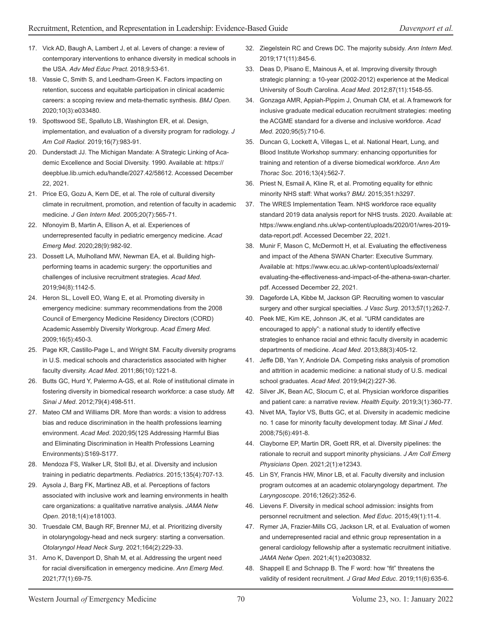- 17. Vick AD, Baugh A, Lambert J, et al. Levers of change: a review of contemporary interventions to enhance diversity in medical schools in the USA. *Adv Med Educ Pract*. 2018;9:53-61.
- 18. Vassie C, Smith S, and Leedham-Green K. Factors impacting on retention, success and equitable participation in clinical academic careers: a scoping review and meta-thematic synthesis. *BMJ Open*. 2020;10(3):e033480.
- 19. Spottswood SE, Spalluto LB, Washington ER, et al. Design, implementation, and evaluation of a diversity program for radiology. *J Am Coll Radiol*. 2019;16(7):983-91.
- 20. Dunderstadt JJ. The Michigan Mandate: A Strategic Linking of Academic Excellence and Social Diversity. 1990. Available at: [https://](https://deepblue.lib.umich.edu/handle/2027.42/58612) [deepblue.lib.umich.edu/handle/2027.42/58612](https://deepblue.lib.umich.edu/handle/2027.42/58612). Accessed December 22, 2021.
- 21. Price EG, Gozu A, Kern DE, et al. The role of cultural diversity climate in recruitment, promotion, and retention of faculty in academic medicine. *J Gen Intern Med*. 2005;20(7):565-71.
- 22. Nfonoyim B, Martin A, Ellison A, et al. Experiences of underrepresented faculty in pediatric emergency medicine. *Acad Emerg Med*. 2020;28(9):982-92.
- 23. Dossett LA, Mulholland MW, Newman EA, et al. Building highperforming teams in academic surgery: the opportunities and challenges of inclusive recruitment strategies. *Acad Med*. 2019;94(8):1142-5.
- 24. Heron SL, Lovell EO, Wang E, et al. Promoting diversity in emergency medicine: summary recommendations from the 2008 Council of Emergency Medicine Residency Directors (CORD) Academic Assembly Diversity Workgroup. *Acad Emerg Med.* 2009;16(5):450-3.
- 25. Page KR, Castillo-Page L, and Wright SM. Faculty diversity programs in U.S. medical schools and characteristics associated with higher faculty diversity. *Acad Med*. 2011;86(10):1221-8.
- 26. Butts GC, Hurd Y, Palermo A-GS, et al. Role of institutional climate in fostering diversity in biomedical research workforce: a case study. *Mt Sinai J Med*. 2012;79(4):498-511.
- 27. Mateo CM and Williams DR. More than words: a vision to address bias and reduce discrimination in the health professions learning environment. *Acad Med*. 2020;95(12S Addressing Harmful Bias and Eliminating Discrimination in Health Professions Learning Environments):S169-S177.
- 28. Mendoza FS, Walker LR, Stoll BJ, et al. Diversity and inclusion training in pediatric departments. *Pediatrics*. 2015;135(4):707-13.
- 29. Aysola J, Barg FK, Martinez AB, et al. Perceptions of factors associated with inclusive work and learning environments in health care organizations: a qualitative narrative analysis. *JAMA Netw Open*. 2018;1(4):e181003.
- 30. Truesdale CM, Baugh RF, Brenner MJ, et al. Prioritizing diversity in otolaryngology-head and neck surgery: starting a conversation. *Otolaryngol Head Neck Surg*. 2021;164(2):229-33.
- 31. Arno K, Davenport D, Shah M, et al. Addressing the urgent need for racial diversification in emergency medicine. *Ann Emerg Med*. 2021;77(1):69-75.
- 32. Ziegelstein RC and Crews DC. The majority subsidy. *Ann Intern Med*. 2019;171(11):845-6.
- 33. Deas D, Pisano E, Mainous A, et al. Improving diversity through strategic planning: a 10-year (2002-2012) experience at the Medical University of South Carolina. *Acad Med*. 2012;87(11):1548-55.
- 34. Gonzaga AMR, Appiah-Pippim J, Onumah CM, et al. A framework for inclusive graduate medical education recruitment strategies: meeting the ACGME standard for a diverse and inclusive workforce. *Acad Med*. 2020;95(5):710-6.
- 35. Duncan G, Lockett A, Villegas L, et al. National Heart, Lung, and Blood Institute Workshop summary: enhancing opportunities for training and retention of a diverse biomedical workforce. *Ann Am Thorac Soc*. 2016;13(4):562-7.
- 36. Priest N, Esmail A, Kline R, et al. Promoting equality for ethnic minority NHS staff: What works? *BMJ*. 2015;351:h3297.
- 37. The WRES Implementation Team. NHS workforce race equality standard 2019 data analysis report for NHS trusts. 2020. Available at: https://www.england.nhs.uk/wp-content/uploads/2020/01/wres-2019 data-report.pdf. Accessed December 22, 2021.
- 38. Munir F, Mason C, McDermott H, et al. Evaluating the effectiveness and impact of the Athena SWAN Charter: Executive Summary. Available at: https://www.ecu.ac.uk/wp-content/uploads/external/ evaluating-the-effectiveness-and-impact-of-the-athena-swan-charter. pdf. Accessed December 22, 2021.
- 39. Dageforde LA, Kibbe M, Jackson GP. Recruiting women to vascular surgery and other surgical specialties. *J Vasc Surg*. 2013;57(1):262-7.
- 40. Peek ME, Kim KE, Johnson JK, et al. "URM candidates are encouraged to apply": a national study to identify effective strategies to enhance racial and ethnic faculty diversity in academic departments of medicine. *Acad Med*. 2013;88(3):405-12.
- 41. Jeffe DB, Yan Y, Andriole DA. Competing risks analysis of promotion and attrition in academic medicine: a national study of U.S. medical school graduates. *Acad Med*. 2019;94(2):227-36.
- 42. Silver JK, Bean AC, Slocum C, et al. Physician workforce disparities and patient care: a narrative review. *Health Equity*. 2019;3(1):360-77.
- 43. Nivet MA, Taylor VS, Butts GC, et al. Diversity in academic medicine no. 1 case for minority faculty development today. *Mt Sinai J Med*. 2008;75(6):491-8.
- 44. Clayborne EP, Martin DR, Goett RR, et al. Diversity pipelines: the rationale to recruit and support minority physicians. *J Am Coll Emerg Physicians Open*. 2021;2(1):e12343.
- 45. Lin SY, Francis HW, Minor LB, et al. Faculty diversity and inclusion program outcomes at an academic otolaryngology department. *The Laryngoscope*. 2016;126(2):352-6.
- 46. Lievens F. Diversity in medical school admission: insights from personnel recruitment and selection. *Med Educ*. 2015;49(1):11-4.
- 47. Rymer JA, Frazier-Mills CG, Jackson LR, et al. Evaluation of women and underrepresented racial and ethnic group representation in a general cardiology fellowship after a systematic recruitment initiative. *JAMA Netw Open*. 2021;4(1):e2030832.
- 48. Shappell E and Schnapp B. The F word: how "fit" threatens the validity of resident recruitment. *J Grad Med Educ*. 2019;11(6):635-6.